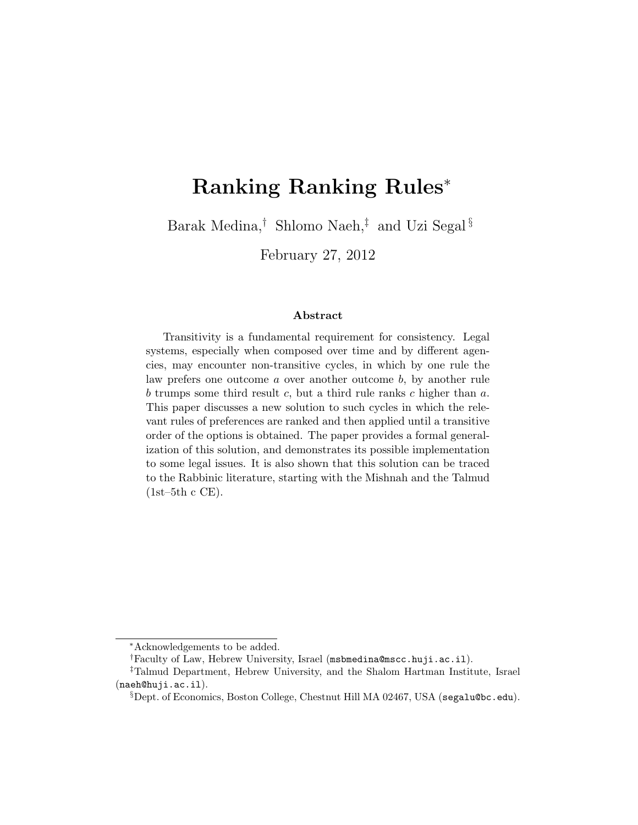# Ranking Ranking Rules<sup>∗</sup>

Barak Medina,† Shlomo Naeh,‡ and Uzi Segal §

February 27, 2012

#### Abstract

Transitivity is a fundamental requirement for consistency. Legal systems, especially when composed over time and by different agencies, may encounter non-transitive cycles, in which by one rule the law prefers one outcome a over another outcome b, by another rule b trumps some third result c, but a third rule ranks c higher than  $a$ . This paper discusses a new solution to such cycles in which the relevant rules of preferences are ranked and then applied until a transitive order of the options is obtained. The paper provides a formal generalization of this solution, and demonstrates its possible implementation to some legal issues. It is also shown that this solution can be traced to the Rabbinic literature, starting with the Mishnah and the Talmud  $(1st-5th c CE)$ .

<sup>∗</sup>Acknowledgements to be added.

<sup>†</sup>Faculty of Law, Hebrew University, Israel (msbmedina@mscc.huji.ac.il).

<sup>‡</sup>Talmud Department, Hebrew University, and the Shalom Hartman Institute, Israel (naeh@huji.ac.il).

 $\S$ Dept. of Economics, Boston College, Chestnut Hill MA 02467, USA (segalu@bc.edu).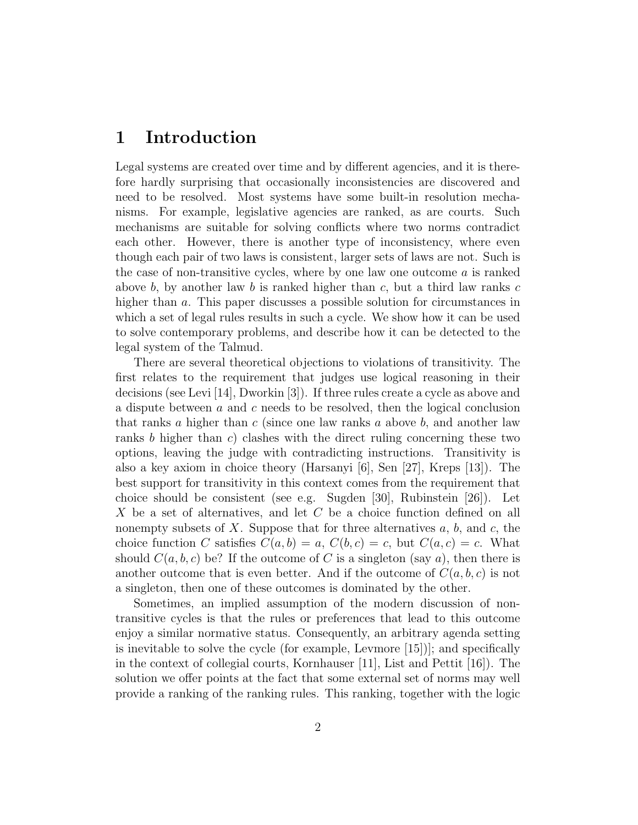### 1 Introduction

Legal systems are created over time and by different agencies, and it is therefore hardly surprising that occasionally inconsistencies are discovered and need to be resolved. Most systems have some built-in resolution mechanisms. For example, legislative agencies are ranked, as are courts. Such mechanisms are suitable for solving conflicts where two norms contradict each other. However, there is another type of inconsistency, where even though each pair of two laws is consistent, larger sets of laws are not. Such is the case of non-transitive cycles, where by one law one outcome a is ranked above b, by another law b is ranked higher than c, but a third law ranks c higher than a. This paper discusses a possible solution for circumstances in which a set of legal rules results in such a cycle. We show how it can be used to solve contemporary problems, and describe how it can be detected to the legal system of the Talmud.

There are several theoretical objections to violations of transitivity. The first relates to the requirement that judges use logical reasoning in their decisions (see Levi [14], Dworkin [3]). If three rules create a cycle as above and a dispute between  $a$  and  $c$  needs to be resolved, then the logical conclusion that ranks a higher than  $c$  (since one law ranks a above  $b$ , and another law ranks b higher than c) clashes with the direct ruling concerning these two options, leaving the judge with contradicting instructions. Transitivity is also a key axiom in choice theory (Harsanyi [6], Sen [27], Kreps [13]). The best support for transitivity in this context comes from the requirement that choice should be consistent (see e.g. Sugden [30], Rubinstein [26]). Let X be a set of alternatives, and let C be a choice function defined on all nonempty subsets of X. Suppose that for three alternatives  $a, b$ , and  $c$ , the choice function C satisfies  $C(a, b) = a, C(b, c) = c$ , but  $C(a, c) = c$ . What should  $C(a, b, c)$  be? If the outcome of C is a singleton (say a), then there is another outcome that is even better. And if the outcome of  $C(a, b, c)$  is not a singleton, then one of these outcomes is dominated by the other.

Sometimes, an implied assumption of the modern discussion of nontransitive cycles is that the rules or preferences that lead to this outcome enjoy a similar normative status. Consequently, an arbitrary agenda setting is inevitable to solve the cycle (for example, Levmore [15])]; and specifically in the context of collegial courts, Kornhauser [11], List and Pettit [16]). The solution we offer points at the fact that some external set of norms may well provide a ranking of the ranking rules. This ranking, together with the logic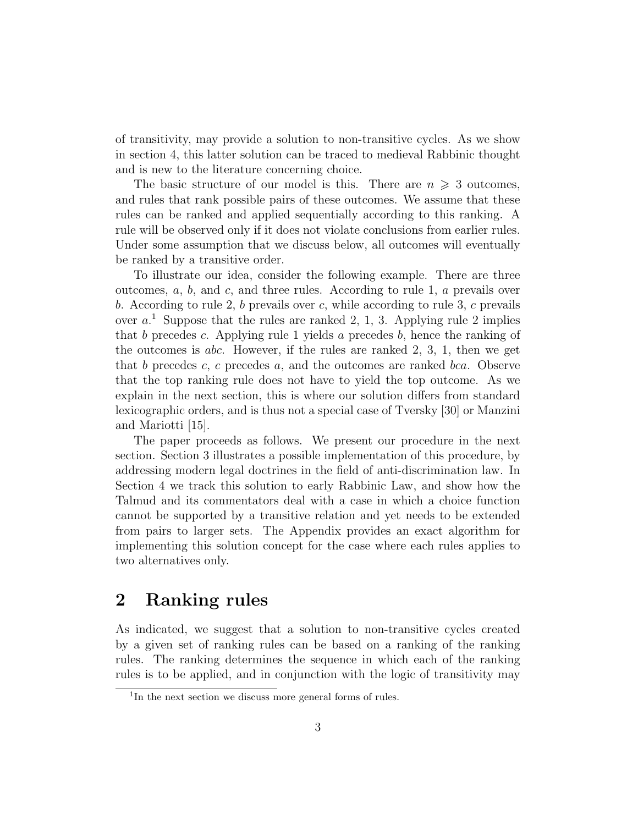of transitivity, may provide a solution to non-transitive cycles. As we show in section 4, this latter solution can be traced to medieval Rabbinic thought and is new to the literature concerning choice.

The basic structure of our model is this. There are  $n \geq 3$  outcomes, and rules that rank possible pairs of these outcomes. We assume that these rules can be ranked and applied sequentially according to this ranking. A rule will be observed only if it does not violate conclusions from earlier rules. Under some assumption that we discuss below, all outcomes will eventually be ranked by a transitive order.

To illustrate our idea, consider the following example. There are three outcomes,  $a, b$ , and  $c$ , and three rules. According to rule 1,  $a$  prevails over b. According to rule 2, b prevails over c, while according to rule 3, c prevails over  $a<sup>1</sup>$ . Suppose that the rules are ranked 2, 1, 3. Applying rule 2 implies that b precedes c. Applying rule 1 yields a precedes b, hence the ranking of the outcomes is abc. However, if the rules are ranked  $2, 3, 1$ , then we get that b precedes c, c precedes a, and the outcomes are ranked bca. Observe that the top ranking rule does not have to yield the top outcome. As we explain in the next section, this is where our solution differs from standard lexicographic orders, and is thus not a special case of Tversky [30] or Manzini and Mariotti [15].

The paper proceeds as follows. We present our procedure in the next section. Section 3 illustrates a possible implementation of this procedure, by addressing modern legal doctrines in the field of anti-discrimination law. In Section 4 we track this solution to early Rabbinic Law, and show how the Talmud and its commentators deal with a case in which a choice function cannot be supported by a transitive relation and yet needs to be extended from pairs to larger sets. The Appendix provides an exact algorithm for implementing this solution concept for the case where each rules applies to two alternatives only.

### 2 Ranking rules

As indicated, we suggest that a solution to non-transitive cycles created by a given set of ranking rules can be based on a ranking of the ranking rules. The ranking determines the sequence in which each of the ranking rules is to be applied, and in conjunction with the logic of transitivity may

<sup>&</sup>lt;sup>1</sup>In the next section we discuss more general forms of rules.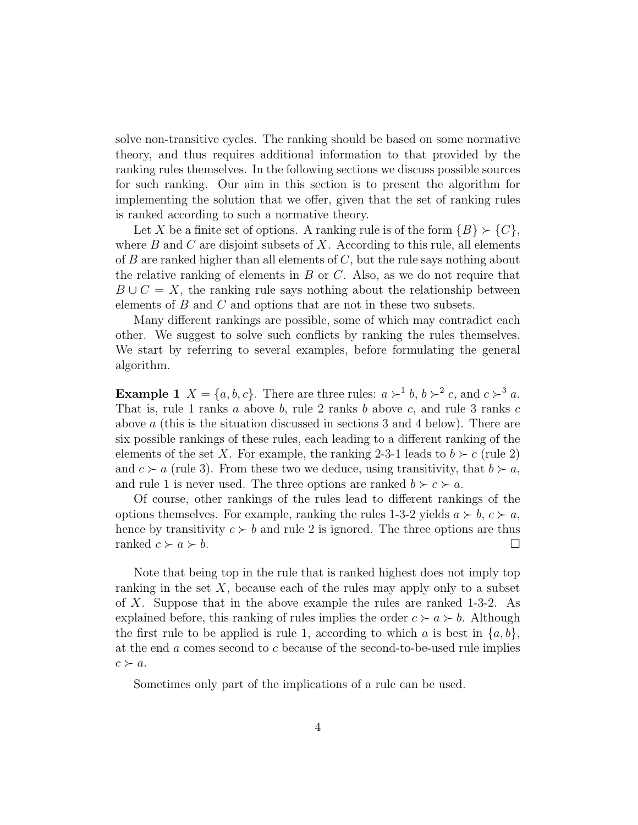solve non-transitive cycles. The ranking should be based on some normative theory, and thus requires additional information to that provided by the ranking rules themselves. In the following sections we discuss possible sources for such ranking. Our aim in this section is to present the algorithm for implementing the solution that we offer, given that the set of ranking rules is ranked according to such a normative theory.

Let X be a finite set of options. A ranking rule is of the form  $\{B\} \succ \{C\}$ , where  $B$  and  $C$  are disjoint subsets of  $X$ . According to this rule, all elements of  $B$  are ranked higher than all elements of  $C$ , but the rule says nothing about the relative ranking of elements in  $B$  or  $C$ . Also, as we do not require that  $B \cup C = X$ , the ranking rule says nothing about the relationship between elements of  $B$  and  $C$  and options that are not in these two subsets.

Many different rankings are possible, some of which may contradict each other. We suggest to solve such conflicts by ranking the rules themselves. We start by referring to several examples, before formulating the general algorithm.

**Example 1**  $X = \{a, b, c\}$ . There are three rules:  $a \succ^1 b$ ,  $b \succ^2 c$ , and  $c \succ^3 a$ . That is, rule 1 ranks  $a$  above  $b$ , rule 2 ranks  $b$  above  $c$ , and rule 3 ranks  $c$ above a (this is the situation discussed in sections 3 and 4 below). There are six possible rankings of these rules, each leading to a different ranking of the elements of the set X. For example, the ranking 2-3-1 leads to  $b \succ c$  (rule 2) and  $c > a$  (rule 3). From these two we deduce, using transitivity, that  $b > a$ , and rule 1 is never used. The three options are ranked  $b \succ c \succ a$ .

Of course, other rankings of the rules lead to different rankings of the options themselves. For example, ranking the rules 1-3-2 yields  $a \succ b$ ,  $c \succ a$ , hence by transitivity  $c > b$  and rule 2 is ignored. The three options are thus ranked  $c \succ a \succ b$ .

Note that being top in the rule that is ranked highest does not imply top ranking in the set  $X$ , because each of the rules may apply only to a subset of X. Suppose that in the above example the rules are ranked 1-3-2. As explained before, this ranking of rules implies the order  $c \succ a \succ b$ . Although the first rule to be applied is rule 1, according to which a is best in  $\{a, b\}$ , at the end a comes second to c because of the second-to-be-used rule implies  $c \succ a$ .

Sometimes only part of the implications of a rule can be used.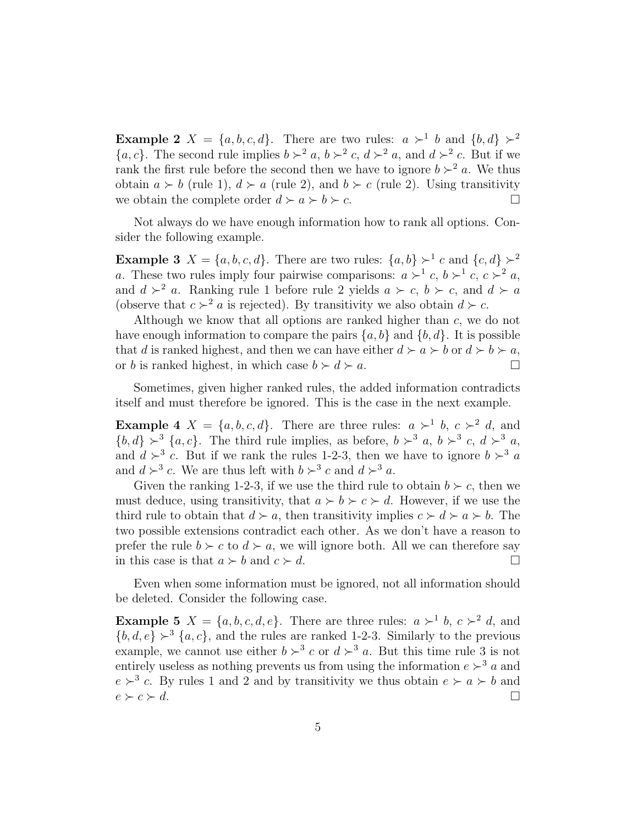**Example 2**  $X = \{a, b, c, d\}$ . There are two rules:  $a \succ^1 b$  and  $\{b, d\} \succ^2$  $\{a, c\}$ . The second rule implies  $b \succ^2 a$ ,  $b \succ^2 c$ ,  $d \succ^2 a$ , and  $d \succ^2 c$ . But if we rank the first rule before the second then we have to ignore  $b \succ^2 a$ . We thus obtain  $a \succ b$  (rule 1),  $d \succ a$  (rule 2), and  $b \succ c$  (rule 2). Using transitivity we obtain the complete order  $d \succ a \succ b \succ c$ .

Not always do we have enough information how to rank all options. Consider the following example.

**Example 3**  $X = \{a, b, c, d\}$ . There are two rules:  $\{a, b\} \succ^1 c$  and  $\{c, d\} \succ^2$ a. These two rules imply four pairwise comparisons:  $a \succ^1 c$ ,  $b \succ^1 c$ ,  $c \succ^2 a$ , and  $d > a$ . Ranking rule 1 before rule 2 yields  $a > c$ ,  $b > c$ , and  $d > a$ (observe that  $c >^2 a$  is rejected). By transitivity we also obtain  $d \succ c$ .

Although we know that all options are ranked higher than c, we do not have enough information to compare the pairs  $\{a, b\}$  and  $\{b, d\}$ . It is possible that d is ranked highest, and then we can have either  $d \succ a \succ b$  or  $d \succ b \succ a$ , or b is ranked highest, in which case  $b \succ d \succ a$ .

Sometimes, given higher ranked rules, the added information contradicts itself and must therefore be ignored. This is the case in the next example.

**Example 4**  $X = \{a, b, c, d\}$ . There are three rules:  $a \succ^1 b$ ,  $c \succ^2 d$ , and  $\{b, d\} \succ^3 \{a, c\}$ . The third rule implies, as before,  $b \succ^3 a$ ,  $b \succ^3 c$ ,  $d \succ^3 a$ , and  $d \succ^3 c$ . But if we rank the rules 1-2-3, then we have to ignore  $b \succ^3 a$ and  $d \succ^3 c$ . We are thus left with  $b \succ^3 c$  and  $d \succ^3 a$ .

Given the ranking 1-2-3, if we use the third rule to obtain  $b \succ c$ , then we must deduce, using transitivity, that  $a \succ b \succ c \succ d$ . However, if we use the third rule to obtain that  $d \succ a$ , then transitivity implies  $c \succ d \succ a \succ b$ . The two possible extensions contradict each other. As we don't have a reason to prefer the rule  $b \succ c$  to  $d \succ a$ , we will ignore both. All we can therefore say in this case is that  $a \succ b$  and  $c \succ d$ .

Even when some information must be ignored, not all information should be deleted. Consider the following case.

**Example 5**  $X = \{a, b, c, d, e\}$ . There are three rules:  $a \succ^1 b$ ,  $c \succ^2 d$ , and  ${b, d, e} \succ^3 {a, c}$ , and the rules are ranked 1-2-3. Similarly to the previous example, we cannot use either  $b >^3 c$  or  $d >^3 a$ . But this time rule 3 is not entirely useless as nothing prevents us from using the information  $e \succ^3 a$  and  $e \succ^3 c$ . By rules 1 and 2 and by transitivity we thus obtain  $e \succ a \succ b$  and  $e \succ c \succ d.$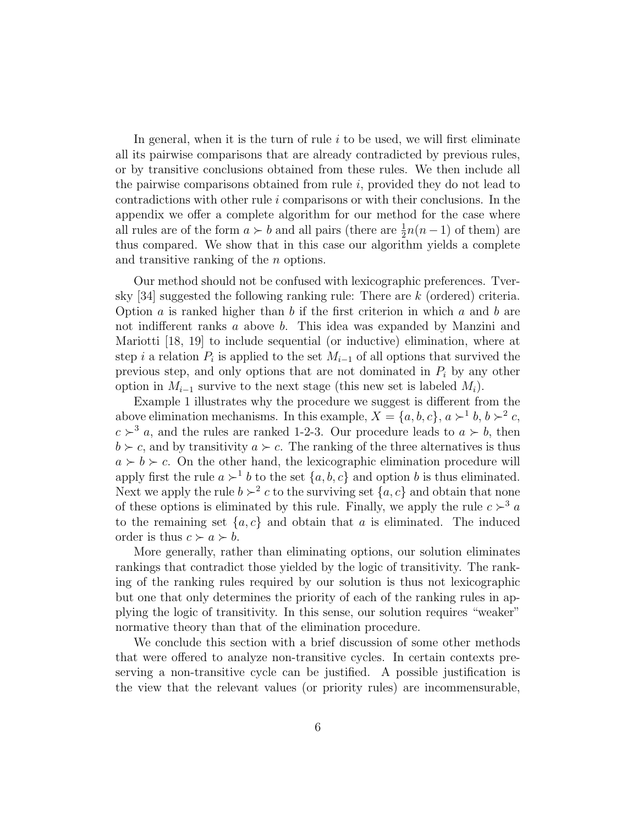In general, when it is the turn of rule  $i$  to be used, we will first eliminate all its pairwise comparisons that are already contradicted by previous rules, or by transitive conclusions obtained from these rules. We then include all the pairwise comparisons obtained from rule  $i$ , provided they do not lead to contradictions with other rule  $i$  comparisons or with their conclusions. In the appendix we offer a complete algorithm for our method for the case where all rules are of the form  $a \succ b$  and all pairs (there are  $\frac{1}{2}n(n-1)$  of them) are thus compared. We show that in this case our algorithm yields a complete and transitive ranking of the n options.

Our method should not be confused with lexicographic preferences. Tversky [34] suggested the following ranking rule: There are k (ordered) criteria. Option  $a$  is ranked higher than  $b$  if the first criterion in which  $a$  and  $b$  are not indifferent ranks a above b. This idea was expanded by Manzini and Mariotti [18, 19] to include sequential (or inductive) elimination, where at step *i* a relation  $P_i$  is applied to the set  $M_{i-1}$  of all options that survived the previous step, and only options that are not dominated in  $P_i$  by any other option in  $M_{i-1}$  survive to the next stage (this new set is labeled  $M_i$ ).

Example 1 illustrates why the procedure we suggest is different from the above elimination mechanisms. In this example,  $X = \{a, b, c\}, a \succ^1 b, b \succ^2 c$ ,  $c > 3$  a, and the rules are ranked 1-2-3. Our procedure leads to  $a > b$ , then  $b \succ c$ , and by transitivity  $a \succ c$ . The ranking of the three alternatives is thus  $a \succ b \succ c$ . On the other hand, the lexicographic elimination procedure will apply first the rule  $a \succ^1 b$  to the set  $\{a, b, c\}$  and option b is thus eliminated. Next we apply the rule  $b > 2$  c to the surviving set  $\{a, c\}$  and obtain that none of these options is eliminated by this rule. Finally, we apply the rule  $c \succ^3 a$ to the remaining set  $\{a, c\}$  and obtain that a is eliminated. The induced order is thus  $c \succ a \succ b$ .

More generally, rather than eliminating options, our solution eliminates rankings that contradict those yielded by the logic of transitivity. The ranking of the ranking rules required by our solution is thus not lexicographic but one that only determines the priority of each of the ranking rules in applying the logic of transitivity. In this sense, our solution requires "weaker" normative theory than that of the elimination procedure.

We conclude this section with a brief discussion of some other methods that were offered to analyze non-transitive cycles. In certain contexts preserving a non-transitive cycle can be justified. A possible justification is the view that the relevant values (or priority rules) are incommensurable,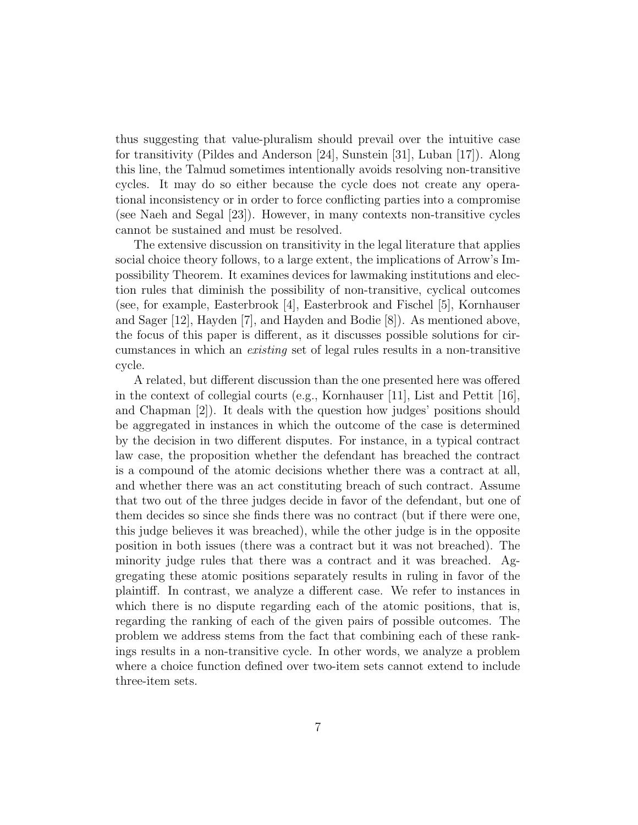thus suggesting that value-pluralism should prevail over the intuitive case for transitivity (Pildes and Anderson [24], Sunstein [31], Luban [17]). Along this line, the Talmud sometimes intentionally avoids resolving non-transitive cycles. It may do so either because the cycle does not create any operational inconsistency or in order to force conflicting parties into a compromise (see Naeh and Segal [23]). However, in many contexts non-transitive cycles cannot be sustained and must be resolved.

The extensive discussion on transitivity in the legal literature that applies social choice theory follows, to a large extent, the implications of Arrow's Impossibility Theorem. It examines devices for lawmaking institutions and election rules that diminish the possibility of non-transitive, cyclical outcomes (see, for example, Easterbrook [4], Easterbrook and Fischel [5], Kornhauser and Sager [12], Hayden [7], and Hayden and Bodie [8]). As mentioned above, the focus of this paper is different, as it discusses possible solutions for circumstances in which an existing set of legal rules results in a non-transitive cycle.

A related, but different discussion than the one presented here was offered in the context of collegial courts (e.g., Kornhauser [11], List and Pettit [16], and Chapman [2]). It deals with the question how judges' positions should be aggregated in instances in which the outcome of the case is determined by the decision in two different disputes. For instance, in a typical contract law case, the proposition whether the defendant has breached the contract is a compound of the atomic decisions whether there was a contract at all, and whether there was an act constituting breach of such contract. Assume that two out of the three judges decide in favor of the defendant, but one of them decides so since she finds there was no contract (but if there were one, this judge believes it was breached), while the other judge is in the opposite position in both issues (there was a contract but it was not breached). The minority judge rules that there was a contract and it was breached. Aggregating these atomic positions separately results in ruling in favor of the plaintiff. In contrast, we analyze a different case. We refer to instances in which there is no dispute regarding each of the atomic positions, that is, regarding the ranking of each of the given pairs of possible outcomes. The problem we address stems from the fact that combining each of these rankings results in a non-transitive cycle. In other words, we analyze a problem where a choice function defined over two-item sets cannot extend to include three-item sets.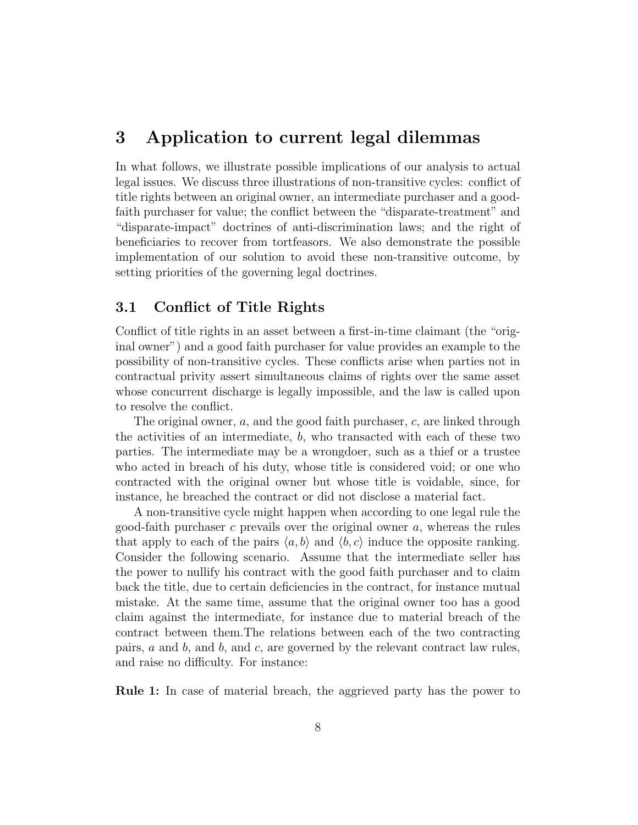### 3 Application to current legal dilemmas

In what follows, we illustrate possible implications of our analysis to actual legal issues. We discuss three illustrations of non-transitive cycles: conflict of title rights between an original owner, an intermediate purchaser and a goodfaith purchaser for value; the conflict between the "disparate-treatment" and "disparate-impact" doctrines of anti-discrimination laws; and the right of beneficiaries to recover from tortfeasors. We also demonstrate the possible implementation of our solution to avoid these non-transitive outcome, by setting priorities of the governing legal doctrines.

### 3.1 Conflict of Title Rights

Conflict of title rights in an asset between a first-in-time claimant (the "original owner") and a good faith purchaser for value provides an example to the possibility of non-transitive cycles. These conflicts arise when parties not in contractual privity assert simultaneous claims of rights over the same asset whose concurrent discharge is legally impossible, and the law is called upon to resolve the conflict.

The original owner, a, and the good faith purchaser, c, are linked through the activities of an intermediate,  $b$ , who transacted with each of these two parties. The intermediate may be a wrongdoer, such as a thief or a trustee who acted in breach of his duty, whose title is considered void; or one who contracted with the original owner but whose title is voidable, since, for instance, he breached the contract or did not disclose a material fact.

A non-transitive cycle might happen when according to one legal rule the good-faith purchaser  $c$  prevails over the original owner  $a$ , whereas the rules that apply to each of the pairs  $\langle a, b \rangle$  and  $\langle b, c \rangle$  induce the opposite ranking. Consider the following scenario. Assume that the intermediate seller has the power to nullify his contract with the good faith purchaser and to claim back the title, due to certain deficiencies in the contract, for instance mutual mistake. At the same time, assume that the original owner too has a good claim against the intermediate, for instance due to material breach of the contract between them.The relations between each of the two contracting pairs,  $a$  and  $b$ , and  $c$ , are governed by the relevant contract law rules, and raise no difficulty. For instance:

Rule 1: In case of material breach, the aggrieved party has the power to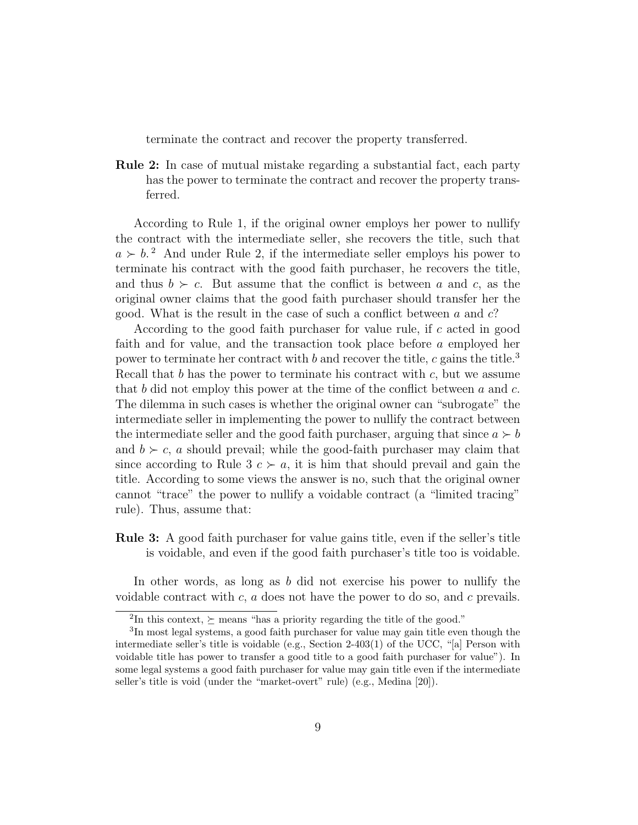terminate the contract and recover the property transferred.

Rule 2: In case of mutual mistake regarding a substantial fact, each party has the power to terminate the contract and recover the property transferred.

According to Rule 1, if the original owner employs her power to nullify the contract with the intermediate seller, she recovers the title, such that  $a \succ b$ <sup>2</sup> And under Rule 2, if the intermediate seller employs his power to terminate his contract with the good faith purchaser, he recovers the title, and thus  $b \succ c$ . But assume that the conflict is between a and c, as the original owner claims that the good faith purchaser should transfer her the good. What is the result in the case of such a conflict between a and  $c$ ?

According to the good faith purchaser for value rule, if c acted in good faith and for value, and the transaction took place before a employed her power to terminate her contract with b and recover the title, c gains the title.<sup>3</sup> Recall that b has the power to terminate his contract with  $c$ , but we assume that b did not employ this power at the time of the conflict between  $a$  and  $c$ . The dilemma in such cases is whether the original owner can "subrogate" the intermediate seller in implementing the power to nullify the contract between the intermediate seller and the good faith purchaser, arguing that since  $a \succ b$ and  $b \succ c$ , a should prevail; while the good-faith purchaser may claim that since according to Rule 3  $c > a$ , it is him that should prevail and gain the title. According to some views the answer is no, such that the original owner cannot "trace" the power to nullify a voidable contract (a "limited tracing" rule). Thus, assume that:

Rule 3: A good faith purchaser for value gains title, even if the seller's title is voidable, and even if the good faith purchaser's title too is voidable.

In other words, as long as b did not exercise his power to nullify the voidable contract with  $c, a$  does not have the power to do so, and c prevails.

<sup>&</sup>lt;sup>2</sup>In this context,  $\succeq$  means "has a priority regarding the title of the good."

<sup>&</sup>lt;sup>3</sup>In most legal systems, a good faith purchaser for value may gain title even though the intermediate seller's title is voidable (e.g., Section 2-403(1) of the UCC, "[a] Person with voidable title has power to transfer a good title to a good faith purchaser for value"). In some legal systems a good faith purchaser for value may gain title even if the intermediate seller's title is void (under the "market-overt" rule) (e.g., Medina [20]).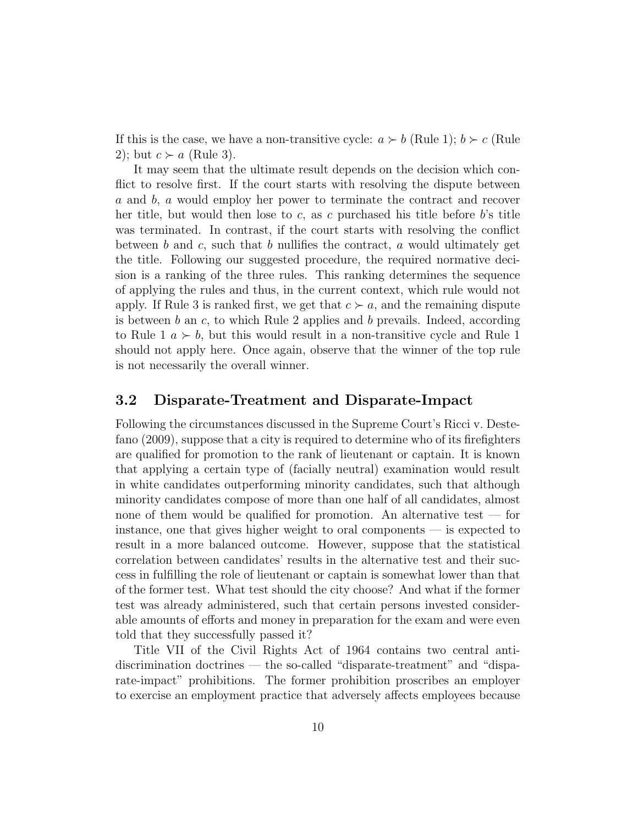If this is the case, we have a non-transitive cycle:  $a \succ b$  (Rule 1);  $b \succ c$  (Rule 2); but  $c > a$  (Rule 3).

It may seem that the ultimate result depends on the decision which conflict to resolve first. If the court starts with resolving the dispute between a and b, a would employ her power to terminate the contract and recover her title, but would then lose to c, as c purchased his title before  $b$ 's title was terminated. In contrast, if the court starts with resolving the conflict between b and c, such that b nullifies the contract, a would ultimately get the title. Following our suggested procedure, the required normative decision is a ranking of the three rules. This ranking determines the sequence of applying the rules and thus, in the current context, which rule would not apply. If Rule 3 is ranked first, we get that  $c > a$ , and the remaining dispute is between  $b$  an  $c$ , to which Rule 2 applies and  $b$  prevails. Indeed, according to Rule 1  $a \succ b$ , but this would result in a non-transitive cycle and Rule 1 should not apply here. Once again, observe that the winner of the top rule is not necessarily the overall winner.

#### 3.2 Disparate-Treatment and Disparate-Impact

Following the circumstances discussed in the Supreme Court's Ricci v. Destefano (2009), suppose that a city is required to determine who of its firefighters are qualified for promotion to the rank of lieutenant or captain. It is known that applying a certain type of (facially neutral) examination would result in white candidates outperforming minority candidates, such that although minority candidates compose of more than one half of all candidates, almost none of them would be qualified for promotion. An alternative test — for instance, one that gives higher weight to oral components — is expected to result in a more balanced outcome. However, suppose that the statistical correlation between candidates' results in the alternative test and their success in fulfilling the role of lieutenant or captain is somewhat lower than that of the former test. What test should the city choose? And what if the former test was already administered, such that certain persons invested considerable amounts of efforts and money in preparation for the exam and were even told that they successfully passed it?

Title VII of the Civil Rights Act of 1964 contains two central antidiscrimination doctrines — the so-called "disparate-treatment" and "disparate-impact" prohibitions. The former prohibition proscribes an employer to exercise an employment practice that adversely affects employees because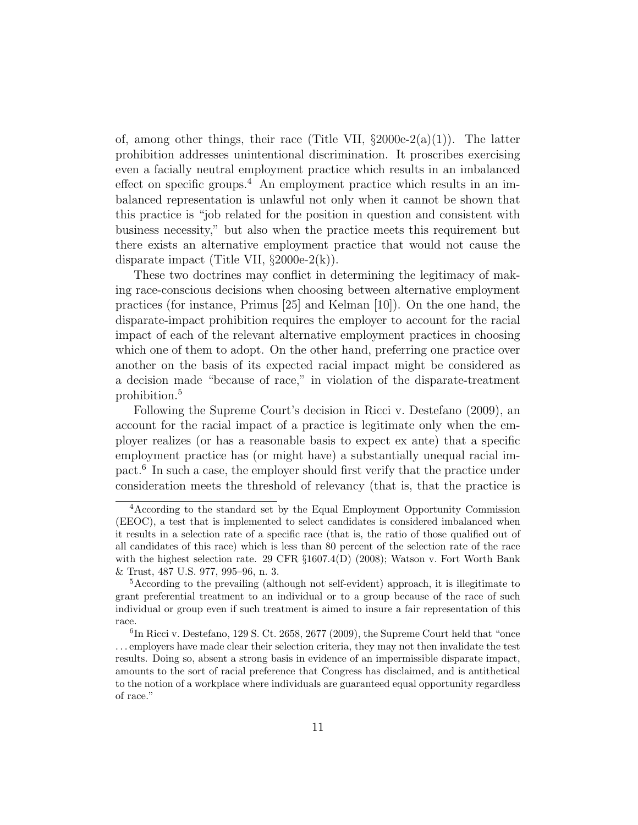of, among other things, their race (Title VII,  $\S2000e-2(a)(1)$ ). The latter prohibition addresses unintentional discrimination. It proscribes exercising even a facially neutral employment practice which results in an imbalanced effect on specific groups.<sup>4</sup> An employment practice which results in an imbalanced representation is unlawful not only when it cannot be shown that this practice is "job related for the position in question and consistent with business necessity," but also when the practice meets this requirement but there exists an alternative employment practice that would not cause the disparate impact (Title VII,  $\S 2000e-2(k)$ ).

These two doctrines may conflict in determining the legitimacy of making race-conscious decisions when choosing between alternative employment practices (for instance, Primus [25] and Kelman [10]). On the one hand, the disparate-impact prohibition requires the employer to account for the racial impact of each of the relevant alternative employment practices in choosing which one of them to adopt. On the other hand, preferring one practice over another on the basis of its expected racial impact might be considered as a decision made "because of race," in violation of the disparate-treatment prohibition.<sup>5</sup>

Following the Supreme Court's decision in Ricci v. Destefano (2009), an account for the racial impact of a practice is legitimate only when the employer realizes (or has a reasonable basis to expect ex ante) that a specific employment practice has (or might have) a substantially unequal racial impact.<sup>6</sup> In such a case, the employer should first verify that the practice under consideration meets the threshold of relevancy (that is, that the practice is

<sup>4</sup>According to the standard set by the Equal Employment Opportunity Commission (EEOC), a test that is implemented to select candidates is considered imbalanced when it results in a selection rate of a specific race (that is, the ratio of those qualified out of all candidates of this race) which is less than 80 percent of the selection rate of the race with the highest selection rate. 29 CFR §1607.4(D) (2008); Watson v. Fort Worth Bank & Trust, 487 U.S. 977, 995–96, n. 3.

<sup>5</sup>According to the prevailing (although not self-evident) approach, it is illegitimate to grant preferential treatment to an individual or to a group because of the race of such individual or group even if such treatment is aimed to insure a fair representation of this race.

<sup>&</sup>lt;sup>6</sup>In Ricci v. Destefano, 129 S. Ct. 2658, 2677 (2009), the Supreme Court held that "once . . . employers have made clear their selection criteria, they may not then invalidate the test results. Doing so, absent a strong basis in evidence of an impermissible disparate impact, amounts to the sort of racial preference that Congress has disclaimed, and is antithetical to the notion of a workplace where individuals are guaranteed equal opportunity regardless of race."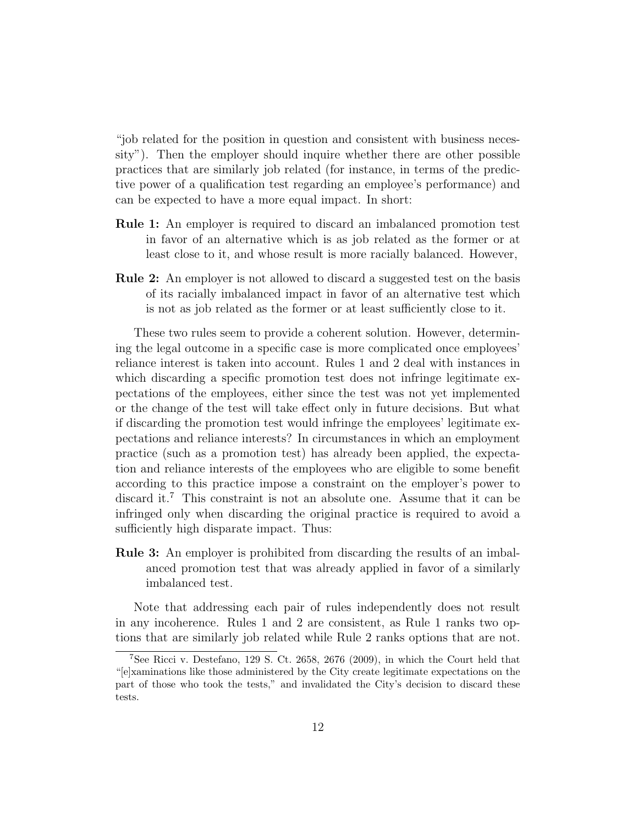"job related for the position in question and consistent with business necessity"). Then the employer should inquire whether there are other possible practices that are similarly job related (for instance, in terms of the predictive power of a qualification test regarding an employee's performance) and can be expected to have a more equal impact. In short:

- Rule 1: An employer is required to discard an imbalanced promotion test in favor of an alternative which is as job related as the former or at least close to it, and whose result is more racially balanced. However,
- Rule 2: An employer is not allowed to discard a suggested test on the basis of its racially imbalanced impact in favor of an alternative test which is not as job related as the former or at least sufficiently close to it.

These two rules seem to provide a coherent solution. However, determining the legal outcome in a specific case is more complicated once employees' reliance interest is taken into account. Rules 1 and 2 deal with instances in which discarding a specific promotion test does not infringe legitimate expectations of the employees, either since the test was not yet implemented or the change of the test will take effect only in future decisions. But what if discarding the promotion test would infringe the employees' legitimate expectations and reliance interests? In circumstances in which an employment practice (such as a promotion test) has already been applied, the expectation and reliance interests of the employees who are eligible to some benefit according to this practice impose a constraint on the employer's power to discard it.<sup>7</sup> This constraint is not an absolute one. Assume that it can be infringed only when discarding the original practice is required to avoid a sufficiently high disparate impact. Thus:

Rule 3: An employer is prohibited from discarding the results of an imbalanced promotion test that was already applied in favor of a similarly imbalanced test.

Note that addressing each pair of rules independently does not result in any incoherence. Rules 1 and 2 are consistent, as Rule 1 ranks two options that are similarly job related while Rule 2 ranks options that are not.

<sup>7</sup>See Ricci v. Destefano, 129 S. Ct. 2658, 2676 (2009), in which the Court held that "[e]xaminations like those administered by the City create legitimate expectations on the part of those who took the tests," and invalidated the City's decision to discard these tests.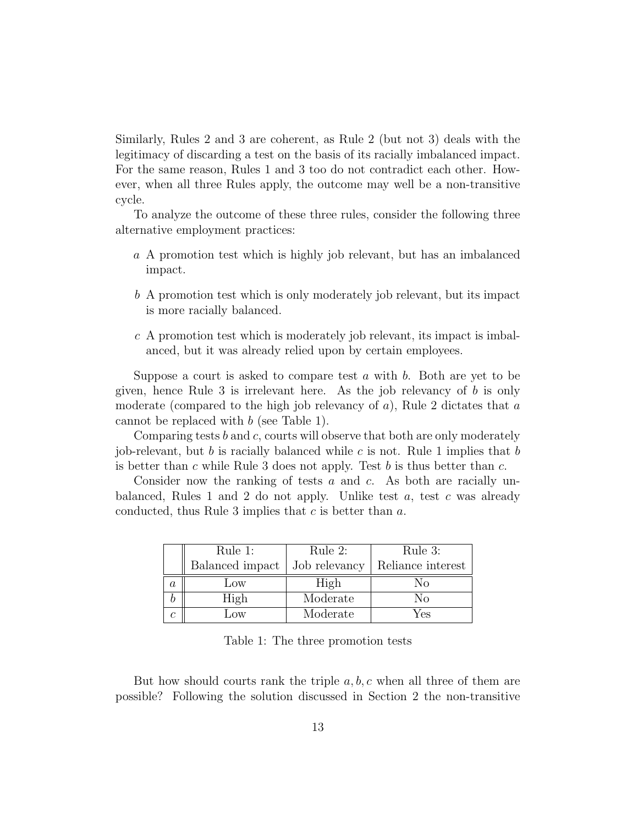Similarly, Rules 2 and 3 are coherent, as Rule 2 (but not 3) deals with the legitimacy of discarding a test on the basis of its racially imbalanced impact. For the same reason, Rules 1 and 3 too do not contradict each other. However, when all three Rules apply, the outcome may well be a non-transitive cycle.

To analyze the outcome of these three rules, consider the following three alternative employment practices:

- a A promotion test which is highly job relevant, but has an imbalanced impact.
- b A promotion test which is only moderately job relevant, but its impact is more racially balanced.
- $c$  A promotion test which is moderately job relevant, its impact is imbalanced, but it was already relied upon by certain employees.

Suppose a court is asked to compare test  $a$  with  $b$ . Both are yet to be given, hence Rule 3 is irrelevant here. As the job relevancy of b is only moderate (compared to the high job relevancy of  $a$ ), Rule 2 dictates that  $a$ cannot be replaced with b (see Table 1).

Comparing tests  $b$  and  $c$ , courts will observe that both are only moderately job-relevant, but b is racially balanced while c is not. Rule 1 implies that b is better than c while Rule 3 does not apply. Test  $b$  is thus better than  $c$ .

Consider now the ranking of tests  $a$  and  $c$ . As both are racially unbalanced, Rules 1 and 2 do not apply. Unlike test  $a$ , test  $c$  was already conducted, thus Rule 3 implies that c is better than a.

|         | Rule 1:         | Rule 2:       | Rule 3:           |
|---------|-----------------|---------------|-------------------|
|         | Balanced impact | Job relevancy | Reliance interest |
| $\it a$ | Low             | High          | Nο                |
|         | High            | Moderate      | Nο                |
|         | <b>JOW</b>      | Moderate      | Yes               |

Table 1: The three promotion tests

But how should courts rank the triple  $a, b, c$  when all three of them are possible? Following the solution discussed in Section 2 the non-transitive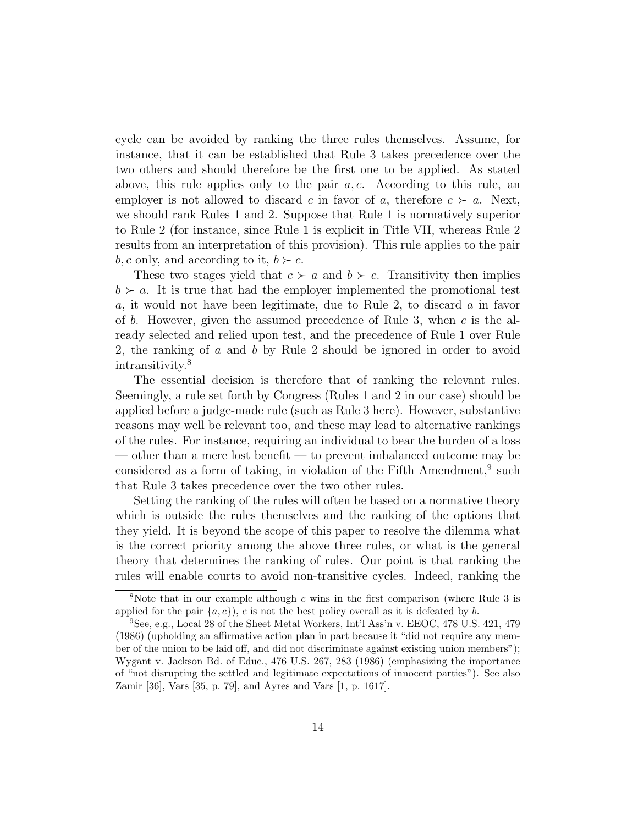cycle can be avoided by ranking the three rules themselves. Assume, for instance, that it can be established that Rule 3 takes precedence over the two others and should therefore be the first one to be applied. As stated above, this rule applies only to the pair  $a, c$ . According to this rule, an employer is not allowed to discard c in favor of a, therefore  $c > a$ . Next, we should rank Rules 1 and 2. Suppose that Rule 1 is normatively superior to Rule 2 (for instance, since Rule 1 is explicit in Title VII, whereas Rule 2 results from an interpretation of this provision). This rule applies to the pair b, c only, and according to it,  $b \succ c$ .

These two stages yield that  $c \succ a$  and  $b \succ c$ . Transitivity then implies  $b \succ a$ . It is true that had the employer implemented the promotional test a, it would not have been legitimate, due to Rule 2, to discard a in favor of b. However, given the assumed precedence of Rule 3, when  $c$  is the already selected and relied upon test, and the precedence of Rule 1 over Rule 2, the ranking of a and b by Rule 2 should be ignored in order to avoid intransitivity.<sup>8</sup>

The essential decision is therefore that of ranking the relevant rules. Seemingly, a rule set forth by Congress (Rules 1 and 2 in our case) should be applied before a judge-made rule (such as Rule 3 here). However, substantive reasons may well be relevant too, and these may lead to alternative rankings of the rules. For instance, requiring an individual to bear the burden of a loss — other than a mere lost benefit — to prevent imbalanced outcome may be considered as a form of taking, in violation of the Fifth Amendment,  $9$  such that Rule 3 takes precedence over the two other rules.

Setting the ranking of the rules will often be based on a normative theory which is outside the rules themselves and the ranking of the options that they yield. It is beyond the scope of this paper to resolve the dilemma what is the correct priority among the above three rules, or what is the general theory that determines the ranking of rules. Our point is that ranking the rules will enable courts to avoid non-transitive cycles. Indeed, ranking the

<sup>&</sup>lt;sup>8</sup>Note that in our example although c wins in the first comparison (where Rule 3 is applied for the pair  $\{a, c\}$ , c is not the best policy overall as it is defeated by b.

 $9$ See, e.g., Local 28 of the Sheet Metal Workers, Int'l Ass'n v. EEOC, 478 U.S. 421, 479 (1986) (upholding an affirmative action plan in part because it "did not require any member of the union to be laid off, and did not discriminate against existing union members"); Wygant v. Jackson Bd. of Educ., 476 U.S. 267, 283 (1986) (emphasizing the importance of "not disrupting the settled and legitimate expectations of innocent parties"). See also Zamir [36], Vars [35, p. 79], and Ayres and Vars [1, p. 1617].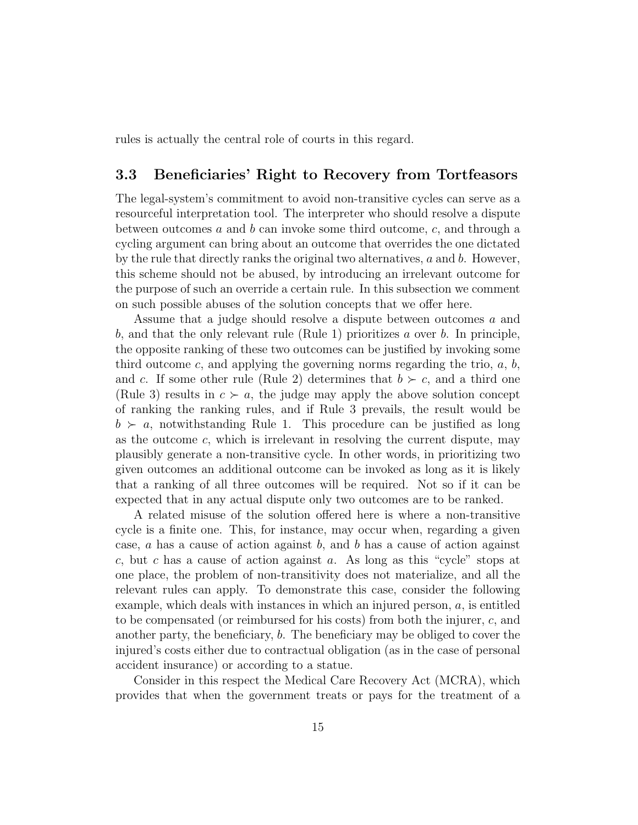rules is actually the central role of courts in this regard.

#### 3.3 Beneficiaries' Right to Recovery from Tortfeasors

The legal-system's commitment to avoid non-transitive cycles can serve as a resourceful interpretation tool. The interpreter who should resolve a dispute between outcomes  $a$  and  $b$  can invoke some third outcome,  $c$ , and through a cycling argument can bring about an outcome that overrides the one dictated by the rule that directly ranks the original two alternatives,  $a$  and  $b$ . However, this scheme should not be abused, by introducing an irrelevant outcome for the purpose of such an override a certain rule. In this subsection we comment on such possible abuses of the solution concepts that we offer here.

Assume that a judge should resolve a dispute between outcomes a and b, and that the only relevant rule (Rule 1) prioritizes a over b. In principle, the opposite ranking of these two outcomes can be justified by invoking some third outcome c, and applying the governing norms regarding the trio,  $a, b$ , and c. If some other rule (Rule 2) determines that  $b \succ c$ , and a third one (Rule 3) results in  $c > a$ , the judge may apply the above solution concept of ranking the ranking rules, and if Rule 3 prevails, the result would be  $b \succ a$ , notwithstanding Rule 1. This procedure can be justified as long as the outcome  $c$ , which is irrelevant in resolving the current dispute, may plausibly generate a non-transitive cycle. In other words, in prioritizing two given outcomes an additional outcome can be invoked as long as it is likely that a ranking of all three outcomes will be required. Not so if it can be expected that in any actual dispute only two outcomes are to be ranked.

A related misuse of the solution offered here is where a non-transitive cycle is a finite one. This, for instance, may occur when, regarding a given case,  $a$  has a cause of action against  $b$ , and  $b$  has a cause of action against c, but c has a cause of action against a. As long as this "cycle" stops at one place, the problem of non-transitivity does not materialize, and all the relevant rules can apply. To demonstrate this case, consider the following example, which deals with instances in which an injured person,  $a$ , is entitled to be compensated (or reimbursed for his costs) from both the injurer, c, and another party, the beneficiary, b. The beneficiary may be obliged to cover the injured's costs either due to contractual obligation (as in the case of personal accident insurance) or according to a statue.

Consider in this respect the Medical Care Recovery Act (MCRA), which provides that when the government treats or pays for the treatment of a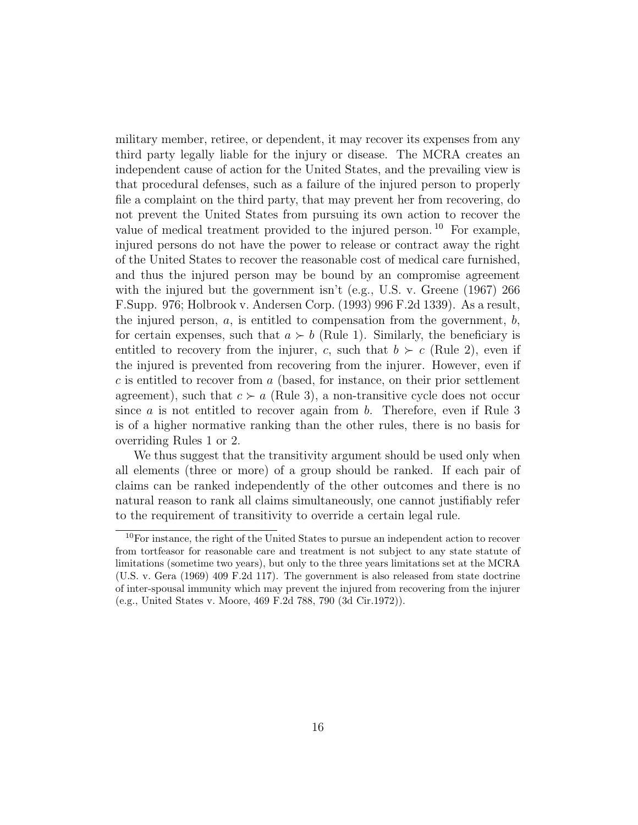military member, retiree, or dependent, it may recover its expenses from any third party legally liable for the injury or disease. The MCRA creates an independent cause of action for the United States, and the prevailing view is that procedural defenses, such as a failure of the injured person to properly file a complaint on the third party, that may prevent her from recovering, do not prevent the United States from pursuing its own action to recover the value of medical treatment provided to the injured person. <sup>10</sup> For example, injured persons do not have the power to release or contract away the right of the United States to recover the reasonable cost of medical care furnished, and thus the injured person may be bound by an compromise agreement with the injured but the government isn't (e.g., U.S. v. Greene (1967) 266 F.Supp. 976; Holbrook v. Andersen Corp. (1993) 996 F.2d 1339). As a result, the injured person,  $a$ , is entitled to compensation from the government,  $b$ , for certain expenses, such that  $a \succ b$  (Rule 1). Similarly, the beneficiary is entitled to recovery from the injurer, c, such that  $b \succ c$  (Rule 2), even if the injured is prevented from recovering from the injurer. However, even if  $c$  is entitled to recover from  $a$  (based, for instance, on their prior settlement agreement), such that  $c > a$  (Rule 3), a non-transitive cycle does not occur since a is not entitled to recover again from b. Therefore, even if Rule  $3$ is of a higher normative ranking than the other rules, there is no basis for overriding Rules 1 or 2.

We thus suggest that the transitivity argument should be used only when all elements (three or more) of a group should be ranked. If each pair of claims can be ranked independently of the other outcomes and there is no natural reason to rank all claims simultaneously, one cannot justifiably refer to the requirement of transitivity to override a certain legal rule.

 $10$  For instance, the right of the United States to pursue an independent action to recover from tortfeasor for reasonable care and treatment is not subject to any state statute of limitations (sometime two years), but only to the three years limitations set at the MCRA (U.S. v. Gera (1969) 409 F.2d 117). The government is also released from state doctrine of inter-spousal immunity which may prevent the injured from recovering from the injurer (e.g., United States v. Moore, 469 F.2d 788, 790 (3d Cir.1972)).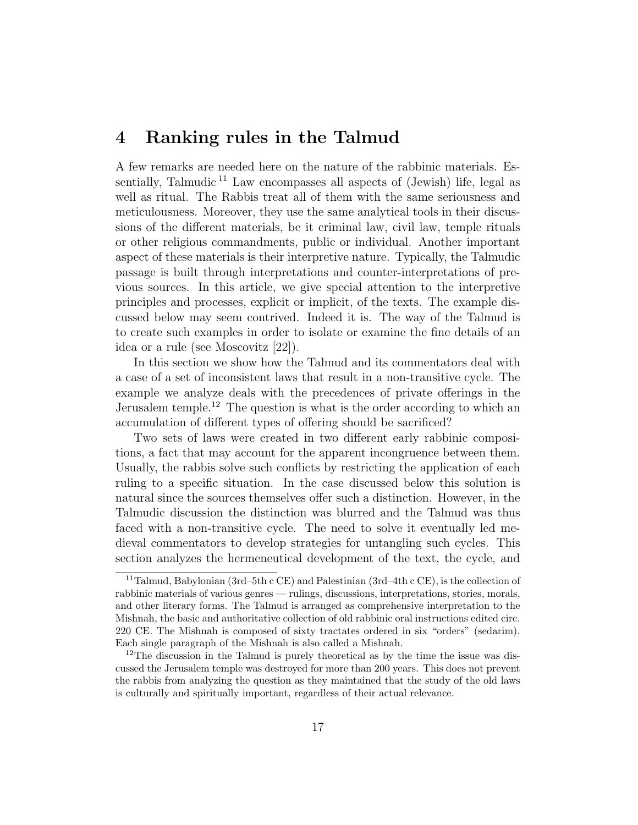### 4 Ranking rules in the Talmud

A few remarks are needed here on the nature of the rabbinic materials. Essentially, Talmudic  $11$  Law encompasses all aspects of (Jewish) life, legal as well as ritual. The Rabbis treat all of them with the same seriousness and meticulousness. Moreover, they use the same analytical tools in their discussions of the different materials, be it criminal law, civil law, temple rituals or other religious commandments, public or individual. Another important aspect of these materials is their interpretive nature. Typically, the Talmudic passage is built through interpretations and counter-interpretations of previous sources. In this article, we give special attention to the interpretive principles and processes, explicit or implicit, of the texts. The example discussed below may seem contrived. Indeed it is. The way of the Talmud is to create such examples in order to isolate or examine the fine details of an idea or a rule (see Moscovitz [22]).

In this section we show how the Talmud and its commentators deal with a case of a set of inconsistent laws that result in a non-transitive cycle. The example we analyze deals with the precedences of private offerings in the Jerusalem temple.<sup>12</sup> The question is what is the order according to which an accumulation of different types of offering should be sacrificed?

Two sets of laws were created in two different early rabbinic compositions, a fact that may account for the apparent incongruence between them. Usually, the rabbis solve such conflicts by restricting the application of each ruling to a specific situation. In the case discussed below this solution is natural since the sources themselves offer such a distinction. However, in the Talmudic discussion the distinction was blurred and the Talmud was thus faced with a non-transitive cycle. The need to solve it eventually led medieval commentators to develop strategies for untangling such cycles. This section analyzes the hermeneutical development of the text, the cycle, and

<sup>&</sup>lt;sup>11</sup>Talmud, Babylonian (3rd–5th c CE) and Palestinian (3rd–4th c CE), is the collection of rabbinic materials of various genres — rulings, discussions, interpretations, stories, morals, and other literary forms. The Talmud is arranged as comprehensive interpretation to the Mishnah, the basic and authoritative collection of old rabbinic oral instructions edited circ. 220 CE. The Mishnah is composed of sixty tractates ordered in six "orders" (sedarim). Each single paragraph of the Mishnah is also called a Mishnah.

<sup>&</sup>lt;sup>12</sup>The discussion in the Talmud is purely theoretical as by the time the issue was discussed the Jerusalem temple was destroyed for more than 200 years. This does not prevent the rabbis from analyzing the question as they maintained that the study of the old laws is culturally and spiritually important, regardless of their actual relevance.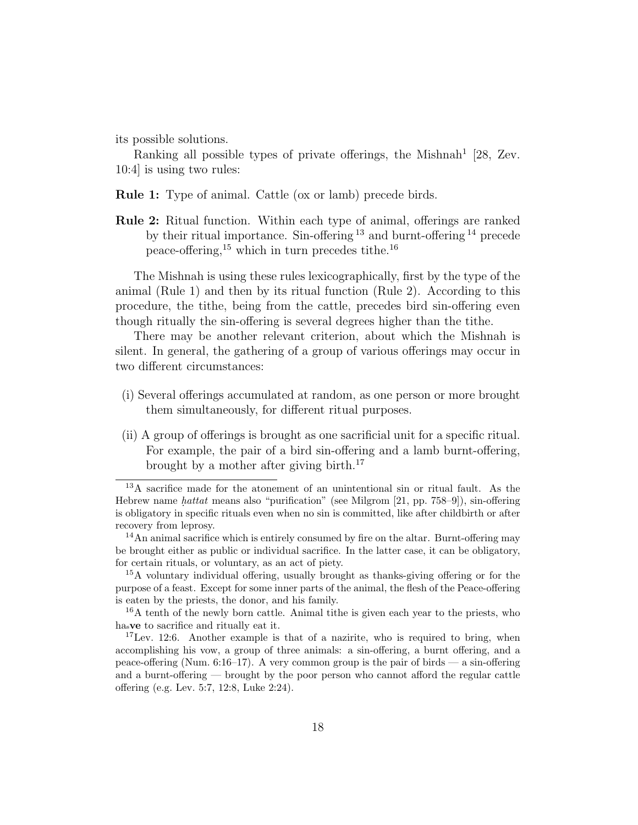its possible solutions.

Ranking all possible types of private offerings, the Mishnah<sup>1</sup> [28, Zev. 10:4] is using two rules:

Rule 1: Type of animal. Cattle (ox or lamb) precede birds.

Rule 2: Ritual function. Within each type of animal, offerings are ranked by their ritual importance. Sin-offering  $13$  and burnt-offering  $14$  precede peace-offering,<sup>15</sup> which in turn precedes tithe.<sup>16</sup>

The Mishnah is using these rules lexicographically, first by the type of the animal (Rule 1) and then by its ritual function (Rule 2). According to this procedure, the tithe, being from the cattle, precedes bird sin-offering even though ritually the sin-offering is several degrees higher than the tithe.

There may be another relevant criterion, about which the Mishnah is silent. In general, the gathering of a group of various offerings may occur in two different circumstances:

- (i) Several offerings accumulated at random, as one person or more brought them simultaneously, for different ritual purposes.
- (ii) A group of offerings is brought as one sacrificial unit for a specific ritual. For example, the pair of a bird sin-offering and a lamb burnt-offering, brought by a mother after giving birth.<sup>17</sup>

<sup>16</sup>A tenth of the newly born cattle. Animal tithe is given each year to the priests, who hasve to sacrifice and ritually eat it.

 $17$ Lev. 12:6. Another example is that of a nazirite, who is required to bring, when accomplishing his vow, a group of three animals: a sin-offering, a burnt offering, and a peace-offering (Num.  $6:16-17$ ). A very common group is the pair of birds — a sin-offering and a burnt-offering — brought by the poor person who cannot afford the regular cattle offering (e.g. Lev. 5:7, 12:8, Luke 2:24).

<sup>&</sup>lt;sup>13</sup>A sacrifice made for the atonement of an unintentional sin or ritual fault. As the Hebrew name *hattat* means also "purification" (see Milgrom  $[21, pp. 758-9]$ ), sin-offering is obligatory in specific rituals even when no sin is committed, like after childbirth or after recovery from leprosy.

 $14$ An animal sacrifice which is entirely consumed by fire on the altar. Burnt-offering may be brought either as public or individual sacrifice. In the latter case, it can be obligatory, for certain rituals, or voluntary, as an act of piety.

<sup>15</sup>A voluntary individual offering, usually brought as thanks-giving offering or for the purpose of a feast. Except for some inner parts of the animal, the flesh of the Peace-offering is eaten by the priests, the donor, and his family.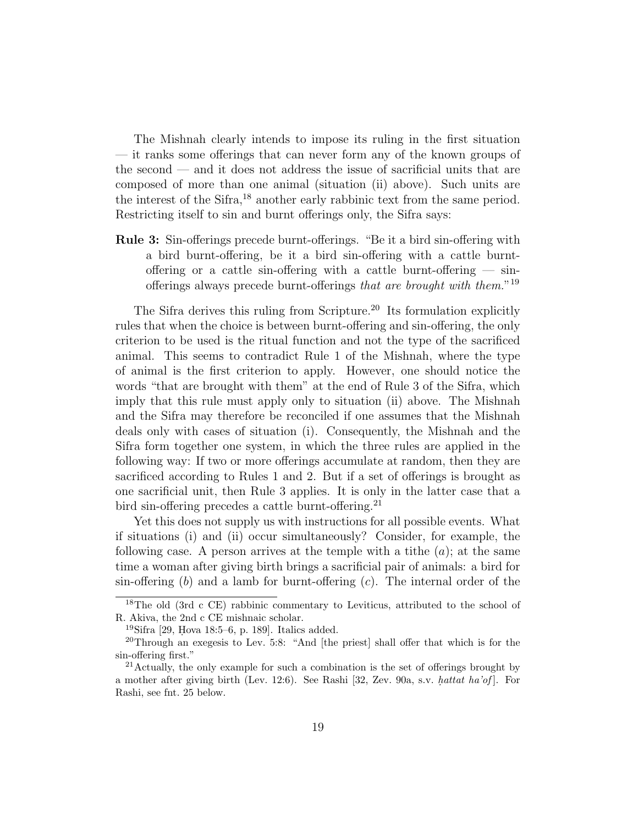The Mishnah clearly intends to impose its ruling in the first situation — it ranks some offerings that can never form any of the known groups of the second — and it does not address the issue of sacrificial units that are composed of more than one animal (situation (ii) above). Such units are the interest of the Sifra,<sup>18</sup> another early rabbinic text from the same period. Restricting itself to sin and burnt offerings only, the Sifra says:

Rule 3: Sin-offerings precede burnt-offerings. "Be it a bird sin-offering with a bird burnt-offering, be it a bird sin-offering with a cattle burntoffering or a cattle sin-offering with a cattle burnt-offering  $-$  sinofferings always precede burnt-offerings that are brought with them."<sup>19</sup>

The Sifra derives this ruling from Scripture.<sup>20</sup> Its formulation explicitly rules that when the choice is between burnt-offering and sin-offering, the only criterion to be used is the ritual function and not the type of the sacrificed animal. This seems to contradict Rule 1 of the Mishnah, where the type of animal is the first criterion to apply. However, one should notice the words "that are brought with them" at the end of Rule 3 of the Sifra, which imply that this rule must apply only to situation (ii) above. The Mishnah and the Sifra may therefore be reconciled if one assumes that the Mishnah deals only with cases of situation (i). Consequently, the Mishnah and the Sifra form together one system, in which the three rules are applied in the following way: If two or more offerings accumulate at random, then they are sacrificed according to Rules 1 and 2. But if a set of offerings is brought as one sacrificial unit, then Rule 3 applies. It is only in the latter case that a bird sin-offering precedes a cattle burnt-offering.<sup>21</sup>

Yet this does not supply us with instructions for all possible events. What if situations (i) and (ii) occur simultaneously? Consider, for example, the following case. A person arrives at the temple with a tithe  $(a)$ ; at the same time a woman after giving birth brings a sacrificial pair of animals: a bird for sin-offering  $(b)$  and a lamb for burnt-offering  $(c)$ . The internal order of the

<sup>18</sup>The old (3rd c CE) rabbinic commentary to Leviticus, attributed to the school of R. Akiva, the 2nd c CE mishnaic scholar.

 $19\,\text{Sifra}$  [29, Hova 18:5–6, p. 189]. Italics added.

<sup>20</sup>Through an exegesis to Lev. 5:8: "And [the priest] shall offer that which is for the sin-offering first."

<sup>&</sup>lt;sup>21</sup> Actually, the only example for such a combination is the set of offerings brought by a mother after giving birth (Lev. 12:6). See Rashi  $[32, Zev. 90a, sv. hattat ha'of]$ . For Rashi, see fnt. 25 below.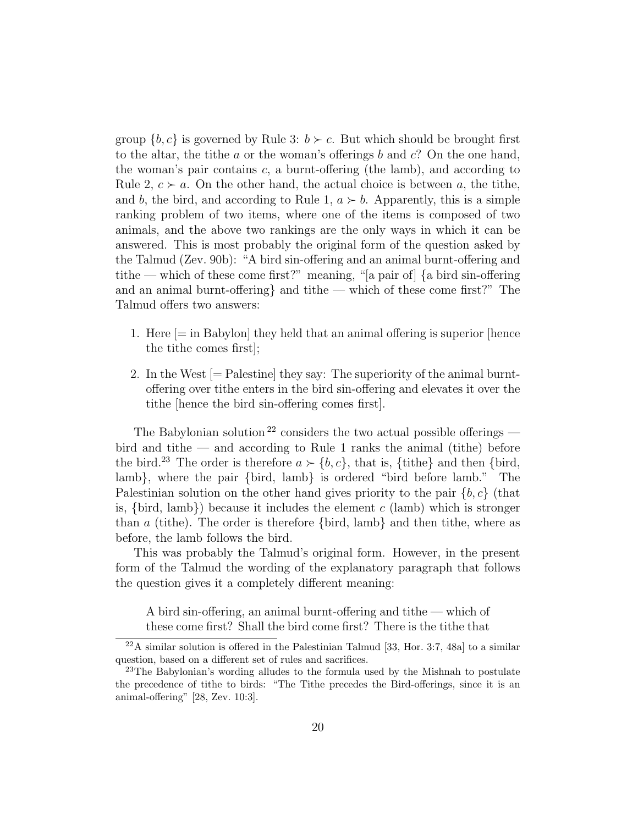group  $\{b, c\}$  is governed by Rule 3:  $b \succ c$ . But which should be brought first to the altar, the tithe a or the woman's offerings b and  $c$ ? On the one hand, the woman's pair contains  $c$ , a burnt-offering (the lamb), and according to Rule 2,  $c > a$ . On the other hand, the actual choice is between a, the tithe, and b, the bird, and according to Rule 1,  $a \succ b$ . Apparently, this is a simple ranking problem of two items, where one of the items is composed of two animals, and the above two rankings are the only ways in which it can be answered. This is most probably the original form of the question asked by the Talmud (Zev. 90b): "A bird sin-offering and an animal burnt-offering and tithe — which of these come first?" meaning, "[a pair of] {a bird sin-offering and an animal burnt-offering and tithe — which of these come first?" The Talmud offers two answers:

- 1. Here [= in Babylon] they held that an animal offering is superior [hence the tithe comes first];
- 2. In the West [= Palestine] they say: The superiority of the animal burntoffering over tithe enters in the bird sin-offering and elevates it over the tithe [hence the bird sin-offering comes first].

The Babylonian solution  $^{22}$  considers the two actual possible offerings bird and tithe  $-$  and according to Rule 1 ranks the animal (tithe) before the bird.<sup>23</sup> The order is therefore  $a \succ \{b, c\}$ , that is, {tithe} and then {bird, lamb}, where the pair {bird, lamb} is ordered "bird before lamb." The Palestinian solution on the other hand gives priority to the pair  $\{b, c\}$  (that is,  $\{bird, \, \text{lambda}\}$ ) because it includes the element c (lamb) which is stronger than a (tithe). The order is therefore  $\{bird, lamb\}$  and then tithe, where as before, the lamb follows the bird.

This was probably the Talmud's original form. However, in the present form of the Talmud the wording of the explanatory paragraph that follows the question gives it a completely different meaning:

A bird sin-offering, an animal burnt-offering and tithe — which of these come first? Shall the bird come first? There is the tithe that

 $22A$  similar solution is offered in the Palestinian Talmud [33, Hor. 3:7, 48a] to a similar question, based on a different set of rules and sacrifices.

 $23$ The Babylonian's wording alludes to the formula used by the Mishnah to postulate the precedence of tithe to birds: "The Tithe precedes the Bird-offerings, since it is an animal-offering" [28, Zev. 10:3].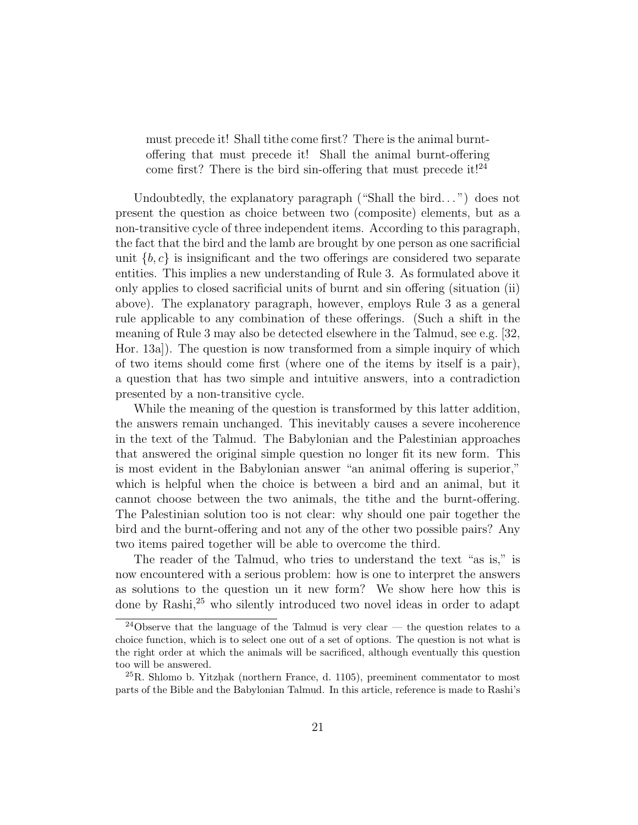must precede it! Shall tithe come first? There is the animal burntoffering that must precede it! Shall the animal burnt-offering come first? There is the bird sin-offering that must precede it!<sup>24</sup>

Undoubtedly, the explanatory paragraph ("Shall the bird...") does not present the question as choice between two (composite) elements, but as a non-transitive cycle of three independent items. According to this paragraph, the fact that the bird and the lamb are brought by one person as one sacrificial unit  $\{b, c\}$  is insignificant and the two offerings are considered two separate entities. This implies a new understanding of Rule 3. As formulated above it only applies to closed sacrificial units of burnt and sin offering (situation (ii) above). The explanatory paragraph, however, employs Rule 3 as a general rule applicable to any combination of these offerings. (Such a shift in the meaning of Rule 3 may also be detected elsewhere in the Talmud, see e.g. [32, Hor. 13a]). The question is now transformed from a simple inquiry of which of two items should come first (where one of the items by itself is a pair), a question that has two simple and intuitive answers, into a contradiction presented by a non-transitive cycle.

While the meaning of the question is transformed by this latter addition, the answers remain unchanged. This inevitably causes a severe incoherence in the text of the Talmud. The Babylonian and the Palestinian approaches that answered the original simple question no longer fit its new form. This is most evident in the Babylonian answer "an animal offering is superior," which is helpful when the choice is between a bird and an animal, but it cannot choose between the two animals, the tithe and the burnt-offering. The Palestinian solution too is not clear: why should one pair together the bird and the burnt-offering and not any of the other two possible pairs? Any two items paired together will be able to overcome the third.

The reader of the Talmud, who tries to understand the text "as is," is now encountered with a serious problem: how is one to interpret the answers as solutions to the question un it new form? We show here how this is done by Rashi,<sup>25</sup> who silently introduced two novel ideas in order to adapt

<sup>&</sup>lt;sup>24</sup>Observe that the language of the Talmud is very clear — the question relates to a choice function, which is to select one out of a set of options. The question is not what is the right order at which the animals will be sacrificed, although eventually this question too will be answered.

 $^{25}R$ . Shlomo b. Yitzhak (northern France, d. 1105), preeminent commentator to most parts of the Bible and the Babylonian Talmud. In this article, reference is made to Rashi's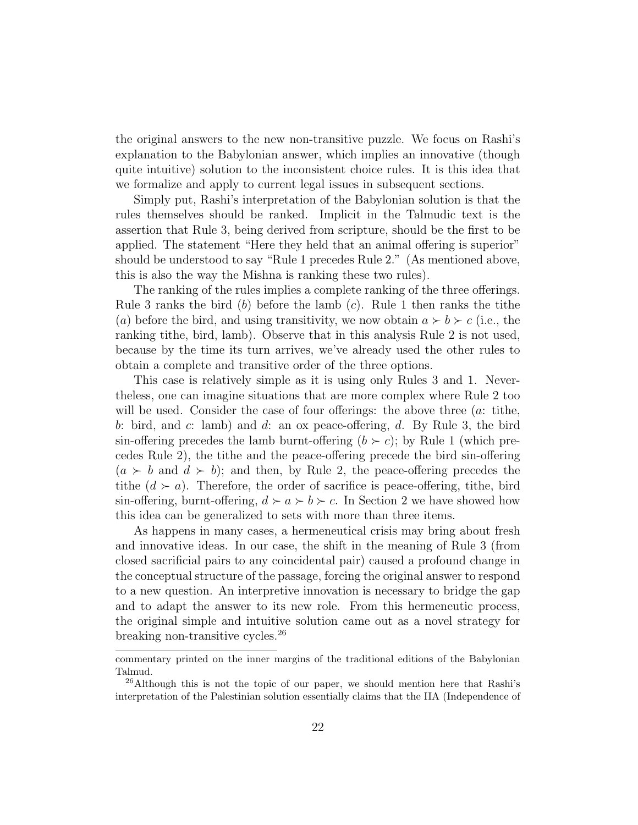the original answers to the new non-transitive puzzle. We focus on Rashi's explanation to the Babylonian answer, which implies an innovative (though quite intuitive) solution to the inconsistent choice rules. It is this idea that we formalize and apply to current legal issues in subsequent sections.

Simply put, Rashi's interpretation of the Babylonian solution is that the rules themselves should be ranked. Implicit in the Talmudic text is the assertion that Rule 3, being derived from scripture, should be the first to be applied. The statement "Here they held that an animal offering is superior" should be understood to say "Rule 1 precedes Rule 2." (As mentioned above, this is also the way the Mishna is ranking these two rules).

The ranking of the rules implies a complete ranking of the three offerings. Rule 3 ranks the bird (b) before the lamb  $(c)$ . Rule 1 then ranks the tithe (a) before the bird, and using transitivity, we now obtain  $a \succ b \succ c$  (i.e., the ranking tithe, bird, lamb). Observe that in this analysis Rule 2 is not used, because by the time its turn arrives, we've already used the other rules to obtain a complete and transitive order of the three options.

This case is relatively simple as it is using only Rules 3 and 1. Nevertheless, one can imagine situations that are more complex where Rule 2 too will be used. Consider the case of four offerings: the above three (*a*: tithe, b: bird, and c: lamb) and d: an ox peace-offering, d. By Rule 3, the bird sin-offering precedes the lamb burnt-offering  $(b \succ c)$ ; by Rule 1 (which precedes Rule 2), the tithe and the peace-offering precede the bird sin-offering  $(a \succ b$  and  $d \succ b)$ ; and then, by Rule 2, the peace-offering precedes the tithe  $(d \succ a)$ . Therefore, the order of sacrifice is peace-offering, tithe, bird sin-offering, burnt-offering,  $d \succ a \succ b \succ c$ . In Section 2 we have showed how this idea can be generalized to sets with more than three items.

As happens in many cases, a hermeneutical crisis may bring about fresh and innovative ideas. In our case, the shift in the meaning of Rule 3 (from closed sacrificial pairs to any coincidental pair) caused a profound change in the conceptual structure of the passage, forcing the original answer to respond to a new question. An interpretive innovation is necessary to bridge the gap and to adapt the answer to its new role. From this hermeneutic process, the original simple and intuitive solution came out as a novel strategy for breaking non-transitive cycles.<sup>26</sup>

commentary printed on the inner margins of the traditional editions of the Babylonian Talmud.

 $^{26}$ Although this is not the topic of our paper, we should mention here that Rashi's interpretation of the Palestinian solution essentially claims that the IIA (Independence of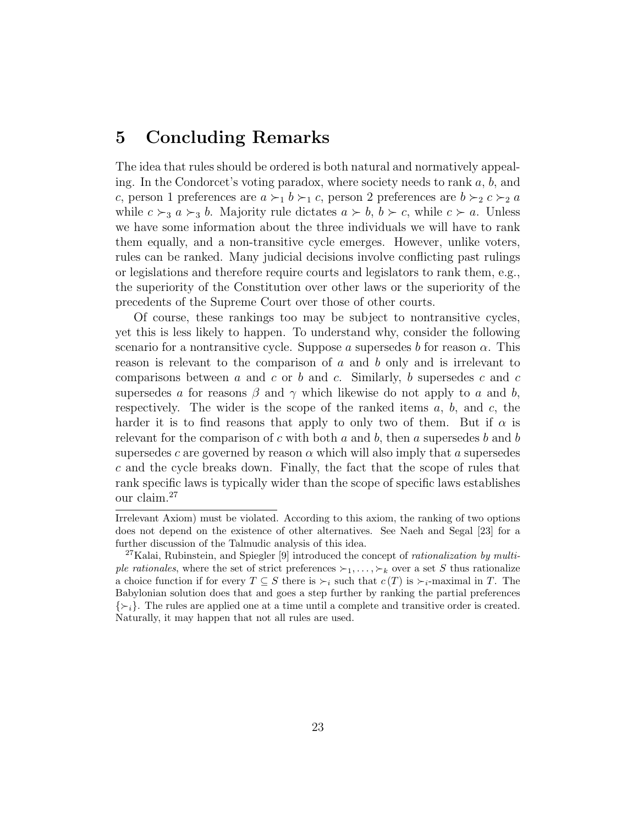### 5 Concluding Remarks

The idea that rules should be ordered is both natural and normatively appealing. In the Condorcet's voting paradox, where society needs to rank  $a, b$ , and c, person 1 preferences are  $a \succ_1 b \succ_1 c$ , person 2 preferences are  $b \succ_2 c \succ_2 a$ while  $c \succ_3 a \succ_3 b$ . Majority rule dictates  $a \succ b$ ,  $b \succ c$ , while  $c \succ a$ . Unless we have some information about the three individuals we will have to rank them equally, and a non-transitive cycle emerges. However, unlike voters, rules can be ranked. Many judicial decisions involve conflicting past rulings or legislations and therefore require courts and legislators to rank them, e.g., the superiority of the Constitution over other laws or the superiority of the precedents of the Supreme Court over those of other courts.

Of course, these rankings too may be subject to nontransitive cycles, yet this is less likely to happen. To understand why, consider the following scenario for a nontransitive cycle. Suppose a supersedes b for reason  $\alpha$ . This reason is relevant to the comparison of  $a$  and  $b$  only and is irrelevant to comparisons between  $a$  and  $c$  or  $b$  and  $c$ . Similarly,  $b$  supersedes  $c$  and  $c$ supersedes a for reasons  $\beta$  and  $\gamma$  which likewise do not apply to a and b, respectively. The wider is the scope of the ranked items  $a, b$ , and  $c$ , the harder it is to find reasons that apply to only two of them. But if  $\alpha$  is relevant for the comparison of c with both a and b, then a supersedes b and b supersedes c are governed by reason  $\alpha$  which will also imply that a supersedes  $c$  and the cycle breaks down. Finally, the fact that the scope of rules that rank specific laws is typically wider than the scope of specific laws establishes our claim.<sup>27</sup>

Irrelevant Axiom) must be violated. According to this axiom, the ranking of two options does not depend on the existence of other alternatives. See Naeh and Segal [23] for a further discussion of the Talmudic analysis of this idea.

<sup>&</sup>lt;sup>27</sup>Kalai, Rubinstein, and Spiegler [9] introduced the concept of *rationalization by multi*ple rationales, where the set of strict preferences  $\succ_1, \ldots, \succ_k$  over a set S thus rationalize a choice function if for every  $T \subseteq S$  there is  $\succ_i$  such that  $c(T)$  is  $\succ_i$ -maximal in T. The Babylonian solution does that and goes a step further by ranking the partial preferences  $\{\succ_i\}$ . The rules are applied one at a time until a complete and transitive order is created. Naturally, it may happen that not all rules are used.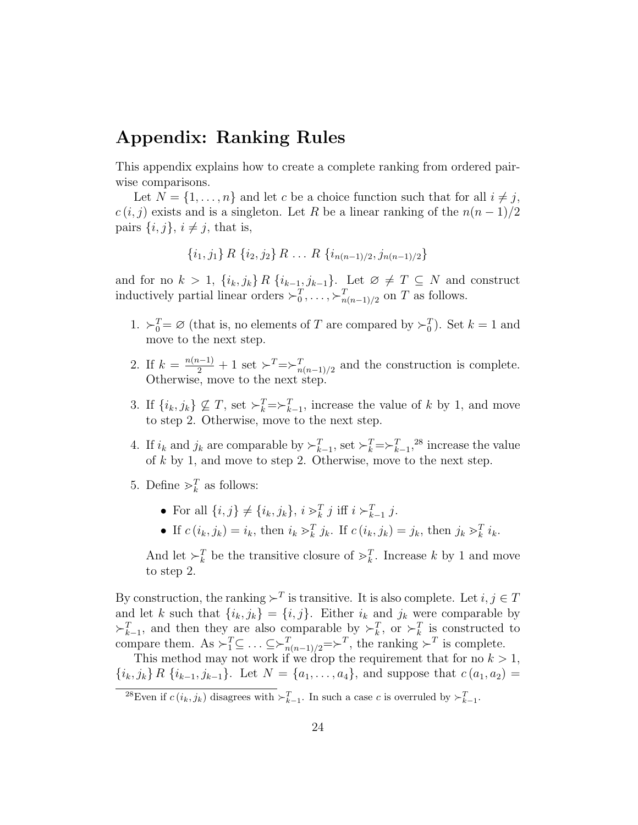## Appendix: Ranking Rules

This appendix explains how to create a complete ranking from ordered pairwise comparisons.

Let  $N = \{1, \ldots, n\}$  and let c be a choice function such that for all  $i \neq j$ ,  $c(i, j)$  exists and is a singleton. Let R be a linear ranking of the  $n(n-1)/2$ pairs  $\{i, j\}, i \neq j$ , that is,

 $\{i_1, j_1\} R \{i_2, j_2\} R \ldots R \{i_{n(n-1)/2}, j_{n(n-1)/2}\}\$ 

and for no  $k > 1$ ,  $\{i_k, j_k\} R \{i_{k-1}, j_{k-1}\}$ . Let  $\emptyset \neq T \subseteq N$  and construct inductively partial linear orders  $\succ_0^T, \ldots, \succ_{n(n-1)/2}^T$  on T as follows.

- 1.  $\succ_0^T = \emptyset$  (that is, no elements of T are compared by  $\succ_0^T$ ). Set  $k = 1$  and move to the next step.
- 2. If  $k = \frac{n(n-1)}{2} + 1$  set  $\succ^T = \succ^T_{n(n-1)/2}$  and the construction is complete. Otherwise, move to the next step.
- 3. If  $\{i_k, j_k\} \nsubseteq T$ , set  $\succ_k^T = \succ_{k=1}^T$ , increase the value of k by 1, and move to step 2. Otherwise, move to the next step.
- 4. If  $i_k$  and  $j_k$  are comparable by  $\succ_{k=1}^T$ , set  $\succ_k^T = \succ_{k=1}^T$ , <sup>28</sup> increase the value of k by 1, and move to step 2. Otherwise, move to the next step.
- 5. Define  $\gt_k^T$  as follows:
	- For all  $\{i, j\} \neq \{i_k, j_k\}, i \geq k \atop k \neq j \text{ iff } i \succ_{k=1}^T j.$
	- If  $c(i_k, j_k) = i_k$ , then  $i_k >_k^T j_k$ . If  $c(i_k, j_k) = j_k$ , then  $j_k >_k^T i_k$ .

And let  $\succ_k^T$  be the transitive closure of  $\succ_k^T$ . Increase k by 1 and move to step 2.

By construction, the ranking  $\succ^T$  is transitive. It is also complete. Let  $i, j \in T$ and let k such that  $\{i_k, j_k\} = \{i, j\}$ . Either  $i_k$  and  $j_k$  were comparable by  $\succ_{k-1}^T$ , and then they are also comparable by  $\succ_k^T$ , or  $\succ_k^T$  is constructed to compare them. As  $\succ_1^T \subseteq \ldots \subseteq \succ_{n(n-1)/2}^T \implies^T$ , the ranking  $\succ^T$  is complete.

This method may not work if we drop the requirement that for no  $k > 1$ ,  $\{i_k, j_k\} R \{i_{k-1}, j_{k-1}\}.$  Let  $N = \{a_1, \ldots, a_4\}$ , and suppose that  $c (a_1, a_2) =$ 

<sup>&</sup>lt;sup>28</sup>Even if  $c(i_k, j_k)$  disagrees with  $\succ_{k=1}^T$ . In such a case c is overruled by  $\succ_{k=1}^T$ .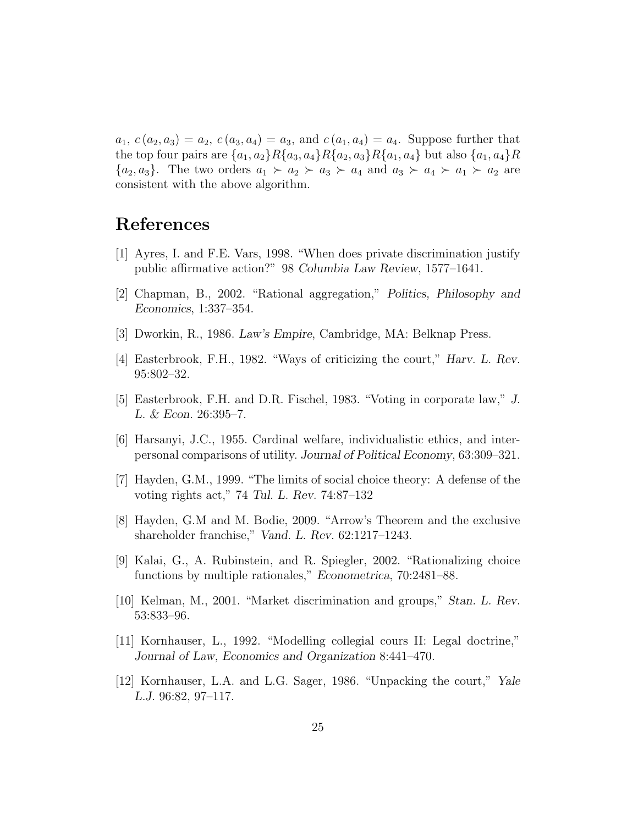$a_1, c(a_2, a_3) = a_2, c(a_3, a_4) = a_3$ , and  $c(a_1, a_4) = a_4$ . Suppose further that the top four pairs are  $\{a_1, a_2\}R\{a_3, a_4\}R\{a_2, a_3\}R\{a_1, a_4\}$  but also  $\{a_1, a_4\}R$  ${a_2, a_3}$ . The two orders  $a_1 \succ a_2 \succ a_3 \succ a_4$  and  $a_3 \succ a_4 \succ a_1 \succ a_2$  are consistent with the above algorithm.

## References

- [1] Ayres, I. and F.E. Vars, 1998. "When does private discrimination justify public affirmative action?" 98 Columbia Law Review, 1577–1641.
- [2] Chapman, B., 2002. "Rational aggregation," Politics, Philosophy and Economics, 1:337–354.
- [3] Dworkin, R., 1986. Law's Empire, Cambridge, MA: Belknap Press.
- [4] Easterbrook, F.H., 1982. "Ways of criticizing the court," Harv. L. Rev. 95:802–32.
- [5] Easterbrook, F.H. and D.R. Fischel, 1983. "Voting in corporate law," J. L. & Econ. 26:395–7.
- [6] Harsanyi, J.C., 1955. Cardinal welfare, individualistic ethics, and interpersonal comparisons of utility. Journal of Political Economy, 63:309–321.
- [7] Hayden, G.M., 1999. "The limits of social choice theory: A defense of the voting rights act," 74 Tul. L. Rev. 74:87–132
- [8] Hayden, G.M and M. Bodie, 2009. "Arrow's Theorem and the exclusive shareholder franchise," Vand. L. Rev. 62:1217–1243.
- [9] Kalai, G., A. Rubinstein, and R. Spiegler, 2002. "Rationalizing choice functions by multiple rationales," Econometrica, 70:2481–88.
- [10] Kelman, M., 2001. "Market discrimination and groups," Stan. L. Rev. 53:833–96.
- [11] Kornhauser, L., 1992. "Modelling collegial cours II: Legal doctrine," Journal of Law, Economics and Organization 8:441–470.
- [12] Kornhauser, L.A. and L.G. Sager, 1986. "Unpacking the court," Yale L.J. 96:82, 97–117.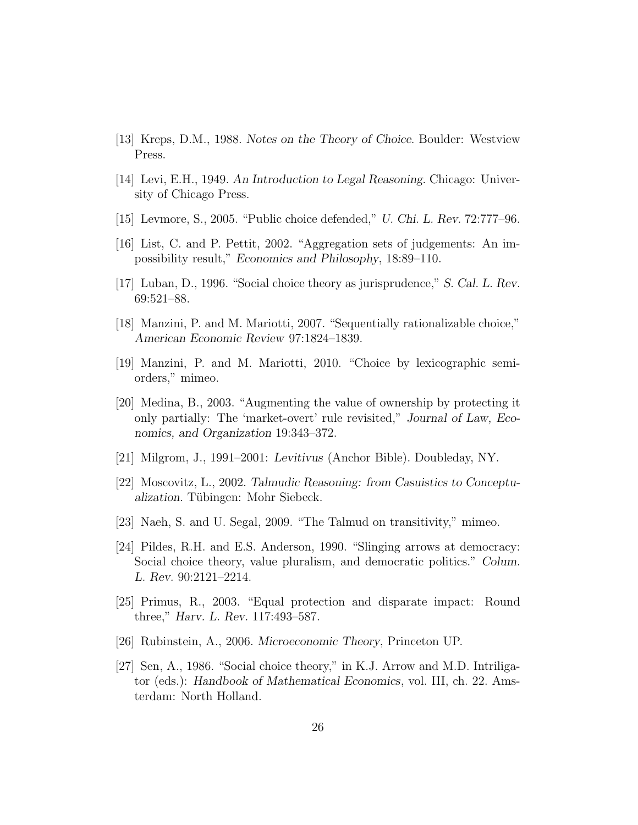- [13] Kreps, D.M., 1988. Notes on the Theory of Choice. Boulder: Westview Press.
- [14] Levi, E.H., 1949. An Introduction to Legal Reasoning. Chicago: University of Chicago Press.
- [15] Levmore, S., 2005. "Public choice defended," U. Chi. L. Rev. 72:777–96.
- [16] List, C. and P. Pettit, 2002. "Aggregation sets of judgements: An impossibility result," Economics and Philosophy, 18:89–110.
- [17] Luban, D., 1996. "Social choice theory as jurisprudence," S. Cal. L. Rev. 69:521–88.
- [18] Manzini, P. and M. Mariotti, 2007. "Sequentially rationalizable choice," American Economic Review 97:1824–1839.
- [19] Manzini, P. and M. Mariotti, 2010. "Choice by lexicographic semiorders," mimeo.
- [20] Medina, B., 2003. "Augmenting the value of ownership by protecting it only partially: The 'market-overt' rule revisited," Journal of Law, Economics, and Organization 19:343–372.
- [21] Milgrom, J., 1991–2001: Levitivus (Anchor Bible). Doubleday, NY.
- [22] Moscovitz, L., 2002. Talmudic Reasoning: from Casuistics to Conceptualization. Tübingen: Mohr Siebeck.
- [23] Naeh, S. and U. Segal, 2009. "The Talmud on transitivity," mimeo.
- [24] Pildes, R.H. and E.S. Anderson, 1990. "Slinging arrows at democracy: Social choice theory, value pluralism, and democratic politics." Colum. L. Rev. 90:2121–2214.
- [25] Primus, R., 2003. "Equal protection and disparate impact: Round three," Harv. L. Rev. 117:493–587.
- [26] Rubinstein, A., 2006. Microeconomic Theory, Princeton UP.
- [27] Sen, A., 1986. "Social choice theory," in K.J. Arrow and M.D. Intriligator (eds.): Handbook of Mathematical Economics, vol. III, ch. 22. Amsterdam: North Holland.